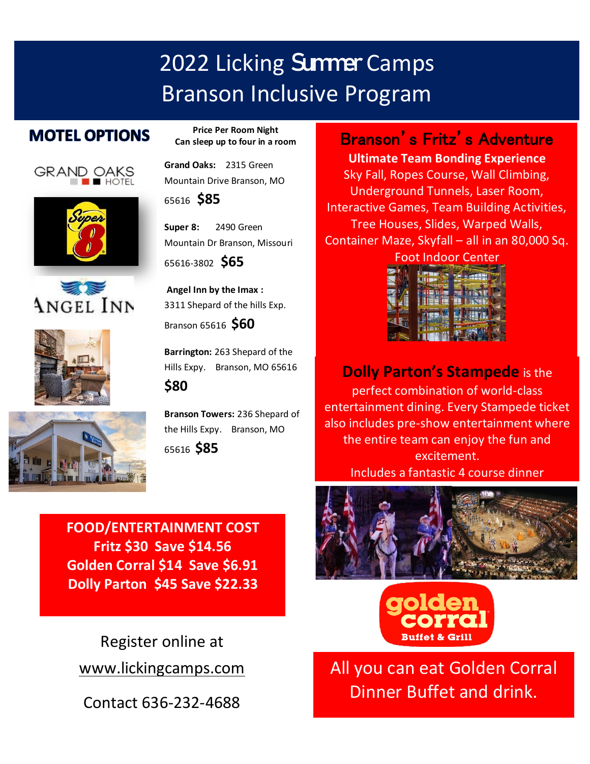# 2022 Licking Summer Camps Branson Inclusive Program

## **MOTEL OPTIONS**











**Price Per Room Night Can sleep up to four in a room**

**Grand Oaks:** 2315 Green Mountain Drive Branson, MO

<sup>65616</sup>**\$85** S

**Super 8:** 2490 Green Mountain Dr Branson, Missouri

65616-3802 **\$65**

**Angel Inn by the Imax :**  3311 Shepard of the hills Exp.

Branson 65616 **\$60**

**Barrington:** 263 Shepard of the Hills Expy. Branson, MO 65616 **\$80**

**Branson Towers:** 236 Shepard of the Hills Expy. Branson, MO <sup>65616</sup>**\$85**

**FOOD/ENTERTAINMENT COST Fritz \$30 Save \$14.56 Golden Corral \$14 Save \$6.91 Dolly Parton \$45 Save \$22.33**

Register online at [www.lickingcamps.com](http://www.lickingcamps.com/)

Contact 636-232-4688

Branson's Fritz's Adventure

**Ultimate Team Bonding Experience** Sky Fall, Ropes Course, Wall Climbing, Underground Tunnels, Laser Room, Interactive Games, Team Building Activities, Tree Houses, Slides, Warped Walls, Container Maze, Skyfall – all in an 80,000 Sq.

| <b>Foot Indoor Center</b> |  |  |  |  |  |  |  |
|---------------------------|--|--|--|--|--|--|--|
|                           |  |  |  |  |  |  |  |
|                           |  |  |  |  |  |  |  |
|                           |  |  |  |  |  |  |  |
|                           |  |  |  |  |  |  |  |
|                           |  |  |  |  |  |  |  |
|                           |  |  |  |  |  |  |  |

# **Dolly Parton's Stampede** is the

perfect combination of world-class entertainment dining. Every Stampede ticket also includes pre-show entertainment where the entire team can enjoy the fun and excitement. Includes a fantastic 4 course dinner





All you can eat Golden Corral Dinner Buffet and drink.